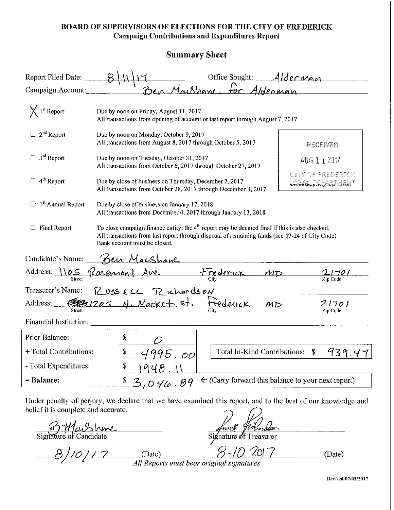#### BOARD OF SUPERVISORS OF ELECTIONS FOR THE CITY OF FREDERICK Campaign Contributions and Expenditures Report

#### Summary Sheet

| Report Filed Date:                                   |                                                                                                                                                                                                                                   |                                                        | 1 Office Sought: Alderman<br>Ben Maushane for Alderman        |  |
|------------------------------------------------------|-----------------------------------------------------------------------------------------------------------------------------------------------------------------------------------------------------------------------------------|--------------------------------------------------------|---------------------------------------------------------------|--|
| Campaign Account:                                    |                                                                                                                                                                                                                                   |                                                        |                                                               |  |
| $\bigtimes 1^{st}$ Report                            | Due by noon on Friday, August 11, 2017<br>All transactions from opening of account or last report through August 7, 2017                                                                                                          |                                                        |                                                               |  |
| $\Box$ 2 <sup>nd</sup> Report                        | Due by noon on Monday, October 9, 2017<br>All transactions from August 8, 2017 through October 5, 2017<br>RECEIVED                                                                                                                |                                                        |                                                               |  |
| $\Box$ 3 <sup>rd</sup> Report                        | Due by noon on Tuesday, October 31, 2017<br>All transactions from October 6, 2017 through October 27, 2017                                                                                                                        | AUG 1 1 2017                                           |                                                               |  |
| $\Box$ 4 <sup>th</sup> Report                        | CITY OF FREDERICK<br>Due by close of business on Thursday, December 7, 2017<br>$\mathcal{R}$ excels of Stamp - Eegal Dept. Use $\Theta$ nly<br>All transactions from October 28, 2017 through December 3, 2017                    |                                                        |                                                               |  |
| $\Box$ 1 <sup>st</sup> Annual Report                 | Due by close of business on January 17, 2018<br>All transactions from December 4, 2017 through January 13, 2018                                                                                                                   |                                                        |                                                               |  |
| $\Box$ Final Report                                  | To close campaign finance entity: the $4th$ report may be deemed final if this is also checked.<br>All transactions from last report through disposal of remaining funds (see §7-24 of City Code)<br>Bank account must be closed. |                                                        |                                                               |  |
|                                                      | Candidate's Name: Ben Macshane                                                                                                                                                                                                    |                                                        |                                                               |  |
| Address: <u>1105</u> Rosemont Ave Frederick MD 21701 |                                                                                                                                                                                                                                   |                                                        |                                                               |  |
|                                                      | Treasurer's Name: <u>12 USS e</u> LL T2 ichards ON                                                                                                                                                                                |                                                        |                                                               |  |
|                                                      | Address: FEB1205 N. Market st. Frederick MD 21701                                                                                                                                                                                 |                                                        |                                                               |  |
| Financial Institution: ___                           |                                                                                                                                                                                                                                   |                                                        |                                                               |  |
| Prior Balance:                                       | \$                                                                                                                                                                                                                                |                                                        |                                                               |  |
| + Total Contributions:                               | \$<br>95                                                                                                                                                                                                                          | <b>Total In-Kind Contributions:</b><br>$\overline{O}O$ | 939.47<br>$\mathbb{S}$                                        |  |
| - Total Expenditures:                                | \$                                                                                                                                                                                                                                |                                                        |                                                               |  |
| = Balance:                                           | ${\mathbb S}$<br><u>,046.89</u>                                                                                                                                                                                                   |                                                        | $\leftarrow$ (Carry forward this balance to your next report) |  |

Under penalty of perjury, we declare that we have examined this report, and to the best of our knowledge and belief it is complete and accurate.

Signature of Candidate

Signature of Treasurer

*B/10/17* (Date) 8-10-2017 / ~ *All Reports IIIUSt bear original signatures* 

(Date)

**Ue\'ised 07/03/2017**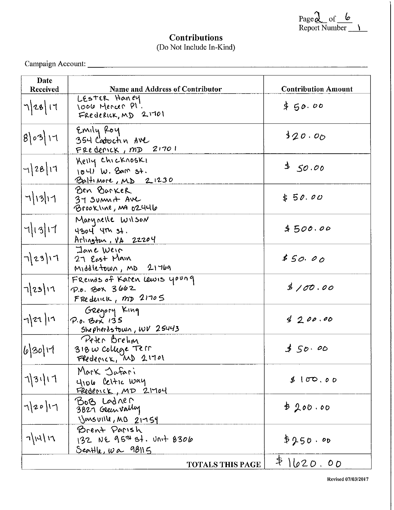Page <u>&</u> of <u>c</u><br>Report Number <u>\_\_ \\_</u>

## **Contributions** (Do Not Include In-Kind)

Campaign Account: \_\_\_\_\_\_\_\_\_\_\_\_\_\_\_\_\_\_\_\_\_\_\_\_\_\_\_ \_

| Date<br><b>Received</b> | Name and Address of Contributor                                      | <b>Contribution Amount</b> |
|-------------------------|----------------------------------------------------------------------|----------------------------|
| 7 28 17                 | LESTER Haney<br>1006 Mencer Pl.<br>FREDERICK, MD 21701               | \$50.00                    |
| 8 03 11                 | Emily Roy<br>354 Cadochn AVC<br>FRECENCK, MD 21701                   | 320.00                     |
| $-1 28 17$              | Kelly Chicknoski<br>$1041$ W. Bam st.<br>Baltimore, MD 21230         | 350.00                     |
| 7 13 11                 | Ben Barker<br>37 Sumn <del>L</del> AVC<br>Brookline, Ma 02446        | \$50.00                    |
| 7 13 17                 | Marynelle Wilson<br>4304 4Th 37.<br>$Arluq$ tur, $vA$ 22204          | 4500.00                    |
| 7 23 1                  | Jane Weir<br>27 East Main<br>$M_1$ ddletown, $MD$ 21769              | \$50.00                    |
| $\frac{1}{2}$           | FREINGS of Karen Lewis young<br>P.O. BOX 3662<br>FRederick, MD 21705 | 3/00.00                    |
| $  \eta  $ zı $ $ ı1    | Gregory King<br>$P.0.$ Bex 135<br>Shepherdstown, WV 25443            | 4200.00                    |
| 6 30 17                 | Peter Brehm<br>$318$ $\omega$ college Terr<br>Frederick, MD 21701    | 550.00                     |
| 1 31 11                 | Mark Jafari<br>4106 Celtic Way<br>FREDENCK, MD 21704                 | 8100.00                    |
| 7 20 17                 | BOB LODRER<br>3827 Geenvally<br>Vensuille, MD 21754                  | \$200.00                   |
| 7 14 17                 | Brent Parish<br>132 NE 957 87. Unit 8306<br><u>Seattle, wa 98115</u> | \$250.00                   |
|                         | <b>TOTALS THIS PAGE</b>                                              | \$1620.00                  |

Re\'ised 07/0312017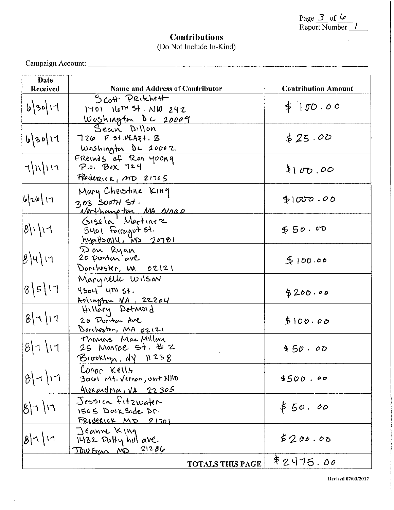| Page 3 of 6   |  |
|---------------|--|
| Report Number |  |

## **Contributions**  (Do Not Include In-Kind)

Campaign Account: \_\_\_\_\_\_\_\_\_\_\_\_\_\_\_\_\_\_\_\_\_\_\_\_\_ \_

 $\ddot{\phantom{0}}$ 

| Date<br>Received      | <b>Name and Address of Contributor</b>                                              | <b>Contribution Amount</b> |
|-----------------------|-------------------------------------------------------------------------------------|----------------------------|
| 63011                 | $S$ cott $P$ Ritchett<br>$1401$ $1677$ $54. NW$ $242$<br><u>Washington</u> DC 20009 | \$100.00                   |
| 6/30/17               | Sean Dillon<br>$726$ F st. VEA <sub>R</sub> +. B<br>Washington DC 20002             | \$25.00                    |
| 7)11117               | Freinds of Ren young<br>FRedeRICK, MD 21705                                         | 100.00                     |
| 6 26  17              | Mary Cheistine King<br>303 South st.<br>Verthomp tin MA 01060<br>Gisela Martinez    | \$1000.00                  |
| 8111                  | 5401 Farragut 51.<br>hyp.HsvIIII, MD 20781                                          | 50.00                      |
| $\beta$ \५\ เฯ        | Don Ryan<br>20 pointon ave<br>Donchester, MA 02121                                  | 5100.00                    |
| 8511                  | Marynelle Wilson<br>$4304$ $479$ $54$ .<br>Anlington NA, 22204<br>Hillary Detmoid   | \$200.00                   |
| 87111                 | 20 Puritan Ave<br>Dorcheston, MA 02121                                              | \$100.00                   |
| 81111                 | Thomas Mac Millan<br>25 Monroe St. # 2<br>$B$ rooklyn, $N\$ 11238                   | \$50.00                    |
| $ B $ -1/17           | CONOR Kells<br>3061 Mt. Vernon, Unit AllID<br><u>Alexandria, VA 22305</u>           | 4500.00                    |
| $ 8  +  11 $          | Jessica fitzwater<br>ISOS DOCKSIDE Dr.<br>FRIDERICK MD 21701                        | \$50.00                    |
| $ g  \wedge   \wedge$ | Jeanne King<br>$1432$ PoHy hill ave<br>TOWSON ND 21286                              | 5200.00                    |
|                       | <b>TOTALS THIS PAGE</b>                                                             | \$2415.00                  |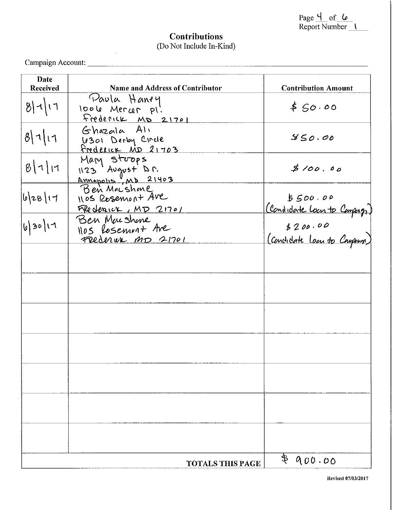| Page 4 of $6$   |  |  |  |
|-----------------|--|--|--|
| Report Number 1 |  |  |  |

#### **Contributions**  (Do Not Include In-Kind)

Campaign Account: \_\_\_\_\_\_\_\_\_\_\_\_\_\_\_\_\_\_\_\_\_\_\_\_\_ \_

| Date            |                                                                       |                                                                                    |
|-----------------|-----------------------------------------------------------------------|------------------------------------------------------------------------------------|
| <b>Received</b> | <b>Name and Address of Contributor</b>                                | <b>Contribution Amount</b>                                                         |
|                 | Paula Haney                                                           |                                                                                    |
| 8111            | loole Mercer pl'.                                                     | \$50.00                                                                            |
|                 | Frederick MD 21701                                                    |                                                                                    |
| 8111            | Ghazala Ali                                                           | 850.00                                                                             |
|                 | 18301 Derby Circle<br>Frederick MD 21703                              |                                                                                    |
|                 |                                                                       |                                                                                    |
| 8111            |                                                                       | \$100.00                                                                           |
|                 |                                                                       |                                                                                    |
|                 | Mary Stoops<br>1123 August Dr.<br>Annapolis, MD 21403<br>Ben Macshene |                                                                                    |
| 6/28/17         | 1105 Rosenhont Ave                                                    |                                                                                    |
|                 | FRederick, MD 21701                                                   | \$500.00<br>(Condidate lour to Compage)<br>\$200.00<br>(Condidate loan to Company) |
| b 30 11         | Ben Mushme                                                            |                                                                                    |
|                 | 1105 Rosement Are                                                     |                                                                                    |
|                 | FRederick MD 21701                                                    |                                                                                    |
|                 |                                                                       |                                                                                    |
|                 |                                                                       |                                                                                    |
|                 |                                                                       |                                                                                    |
|                 |                                                                       |                                                                                    |
|                 |                                                                       |                                                                                    |
|                 |                                                                       |                                                                                    |
|                 |                                                                       |                                                                                    |
|                 |                                                                       |                                                                                    |
|                 |                                                                       |                                                                                    |
|                 |                                                                       |                                                                                    |
|                 |                                                                       |                                                                                    |
|                 |                                                                       |                                                                                    |
|                 |                                                                       |                                                                                    |
|                 |                                                                       |                                                                                    |
|                 |                                                                       |                                                                                    |
|                 |                                                                       |                                                                                    |
|                 |                                                                       |                                                                                    |
|                 |                                                                       |                                                                                    |
|                 |                                                                       |                                                                                    |
|                 | <b>TOTALS THIS PAGE</b>                                               | 800.00                                                                             |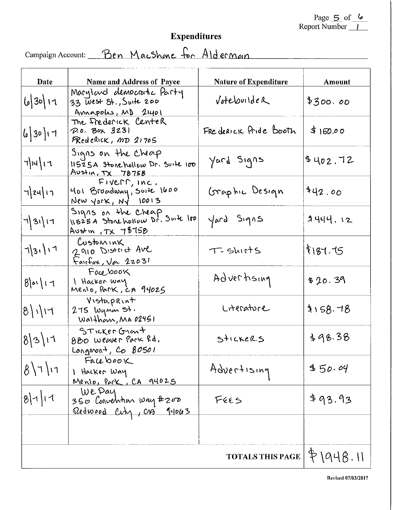# Expenditures

Campaign Account: Ben Macshene for Alderman

| Date                                                                                                                                                                 | <b>Name and Address of Payee</b>                                             | <b>Nature of Expenditure</b> | Amount          |
|----------------------------------------------------------------------------------------------------------------------------------------------------------------------|------------------------------------------------------------------------------|------------------------------|-----------------|
| 63011                                                                                                                                                                | Maryland democratic Party<br>33 West 8t., Suite 200<br>Annapolis, MD 21401   | Votebuilder                  | \$300.00        |
| 63011                                                                                                                                                                | The frederick Center<br>P.O. Box 3231<br>FRederick, MD 21705                 | FRE deRICK Pride Booth       | \$150.00        |
| 7 14 17                                                                                                                                                              | Signs on the cheap<br>11525A Stonehollow Dr. Suite 100<br>Austin, TX 78758   | Yard Signs                   | \$402.72        |
| $\frac{1}{2}$ 24   17                                                                                                                                                | FIVERR, INC.<br>401 Broadway, Suite 1600<br>New york, $N2$ 10013             | Graphic Design               | 442.00          |
| $ \hspace{.06cm}\raisebox{.4cm}{\hspace{.04cm}\raisebox{.4cm}{\hspace{.04cm}}}}$ 31) $\hspace{.06cm}\raisebox{.4cm}{\hspace{.04cm}\raisebox{.4cm}{\hspace{.04cm}}}}$ | Signs on the Cheap<br>11525A Storehollow Dr. Suite loo<br>Avstin, $TX$ 78758 | Yard Signs                   | <b>カ니니니. 12</b> |
| 7 31 17                                                                                                                                                              | Customink<br>2910 District Ave<br>$F$ air $F$ ax, $\sqrt{\alpha}$ 22031      | T-Shirts                     | 8187.75         |
| 8 01 17                                                                                                                                                              | Facebook<br>I Hacker way<br>Menio, Park, ca 94025                            | Advertising                  | \$20.39         |
| $ 8 $ $\sqrt{17}$                                                                                                                                                    | Vistuprint<br>275 luynar <del>S</del> t.<br>Walthom, MA 02451                | Literature                   | 3158.78         |
| 8 3 11                                                                                                                                                               | STICKER GIANT<br>880 Weaver Park Rd.<br>Longmont, Co 80501                   | STICKERS                     | 498.38          |
| $8\vert 7\vert 11$                                                                                                                                                   | Facebook<br>1 Hacker Way<br>Menlo, Park, CA 94025                            | Advertising                  | 450.04          |
| 8 1 1                                                                                                                                                                | We Pay<br>350 Convention way #200<br>Redwood City, CA J4063                  | F665                         | \$93.93         |
|                                                                                                                                                                      |                                                                              |                              |                 |
|                                                                                                                                                                      |                                                                              | <b>TOTALS THIS PAGE</b>      | P(948.11)       |

Revised 07/03/2017